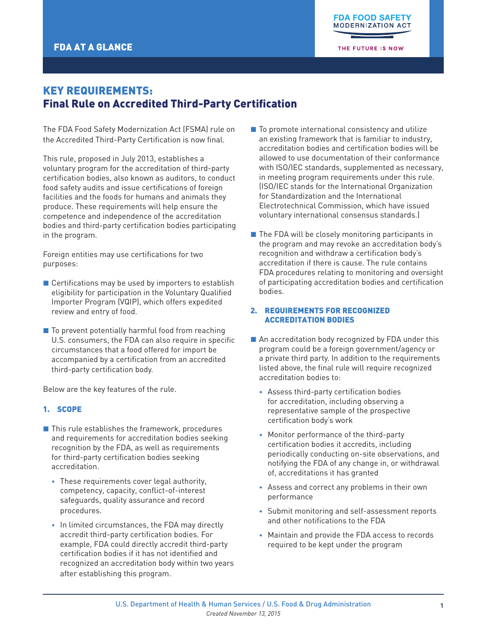THE FUTURE IS NOW

# KEY REQUIREMENTS: Final Rule on Accredited Third-Party Certification

The FDA Food Safety Modernization Act (FSMA) rule on the Accredited Third-Party Certification is now final.

This rule, proposed in July 2013, establishes a voluntary program for the accreditation of third-party certification bodies, also known as auditors, to conduct food safety audits and issue certifications of foreign facilities and the foods for humans and animals they produce. These requirements will help ensure the competence and independence of the accreditation bodies and third-party certification bodies participating in the program.

Foreign entities may use certifications for two purposes:

- $\blacksquare$  Certifications may be used by importers to establish eligibility for participation in the Voluntary Qualified Importer Program (VQIP), which offers expedited review and entry of food.
- To prevent potentially harmful food from reaching U.S. consumers, the FDA can also require in specific circumstances that a food offered for import be accompanied by a certification from an accredited third-party certification body.

Below are the key features of the rule.

# 1. SCOPE

- $\blacksquare$  This rule establishes the framework, procedures and requirements for accreditation bodies seeking recognition by the FDA, as well as requirements for third-party certification bodies seeking accreditation.
	- These requirements cover legal authority, competency, capacity, conflict-of-interest safeguards, quality assurance and record procedures.
	- In limited circumstances, the FDA may directly accredit third-party certification bodies. For example, FDA could directly accredit third-party certification bodies if it has not identified and recognized an accreditation body within two years after establishing this program.
- $\blacksquare$  To promote international consistency and utilize an existing framework that is familiar to industry, accreditation bodies and certification bodies will be allowed to use documentation of their conformance with ISO/IEC standards, supplemented as necessary, in meeting program requirements under this rule. (ISO/IEC stands for the International Organization for Standardization and the International Electrotechnical Commission, which have issued voluntary international consensus standards.)
- $\blacksquare$  The FDA will be closely monitoring participants in the program and may revoke an accreditation body's recognition and withdraw a certification body's accreditation if there is cause. The rule contains FDA procedures relating to monitoring and oversight of participating accreditation bodies and certification bodies.

# 2. REQUIREMENTS FOR RECOGNIZED ACCREDITATION BODIES

- $\blacksquare$  An accreditation body recognized by FDA under this program could be a foreign government/agency or a private third party. In addition to the requirements listed above, the final rule will require recognized accreditation bodies to:
	- Assess third-party certification bodies for accreditation, including observing a representative sample of the prospective certification body's work
	- Monitor performance of the third-party certification bodies it accredits, including periodically conducting on-site observations, and notifying the FDA of any change in, or withdrawal of, accreditations it has granted
	- Assess and correct any problems in their own performance
	- Submit monitoring and self-assessment reports and other notifications to the FDA
	- Maintain and provide the FDA access to records required to be kept under the program